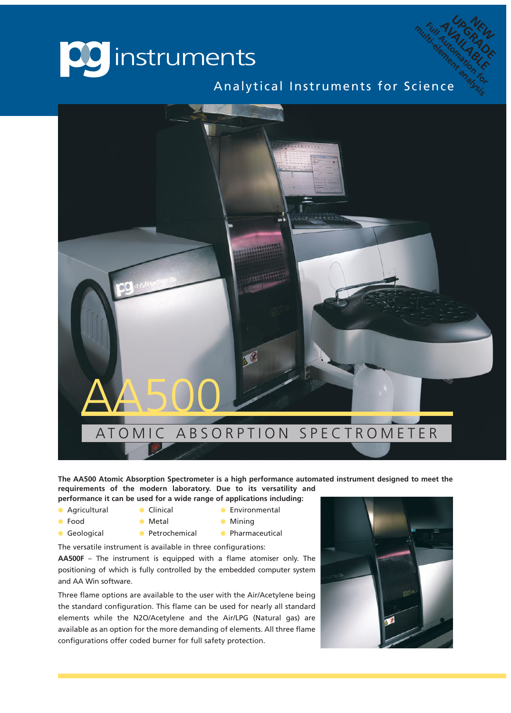

Analytical Instruments for Science<sup>Ma</sup>nalytical Instruments for Science Full Auto RAUTORAL<br>Full Auto AAU<br>Full and AAU<br>Full property Autor<br>Auto Property And

**NEW** UP NEW<br>ALGRADE **AVAILABLE**<br>AUAILAB<br>Premande LE



**The AA500 Atomic Absorption Spectrometer is a high performance automated instrument designed to meet the requirements of the modern laboratory. Due to its versatility and**

- **performance it can be used for a wide range of applications including: a** Agricultural **and Clinical Clinical Clinical Clinical a** Environmental
- 
- 
- 
- **a** Food **a** Metal **a** Mining
- 
- **a** Geological **a** Petrochemical **a** Pharmaceutical
- The versatile instrument is available in three configurations:

**AA500F** – The instrument is equipped with a flame atomiser only. The positioning of which is fully controlled by the embedded computer system and AA Win software.

Three flame options are available to the user with the Air/Acetylene being the standard configuration. This flame can be used for nearly all standard elements while the N2O/Acetylene and the Air/LPG (Natural gas) are available as an option for the more demanding of elements. All three flame configurations offer coded burner for full safety protection.

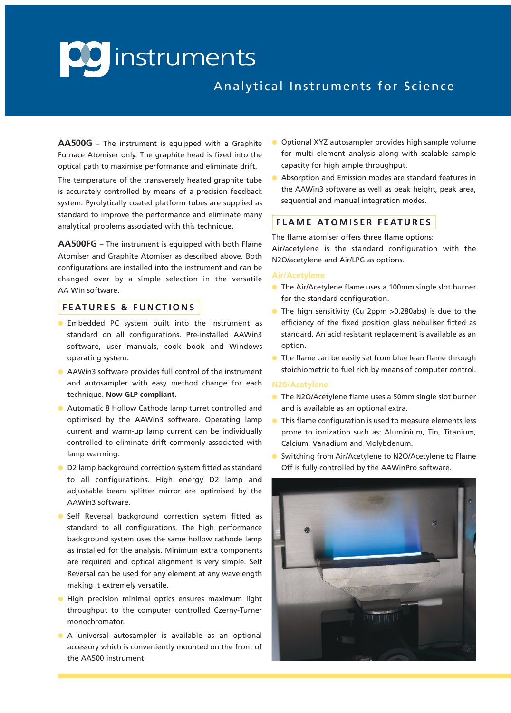## **CC** instruments

### Analytical Instruments for Science

**AA500G** – The instrument is equipped with a Graphite Furnace Atomiser only. The graphite head is fixed into the optical path to maximise performance and eliminate drift.

The temperature of the transversely heated graphite tube is accurately controlled by means of a precision feedback system. Pyrolytically coated platform tubes are supplied as standard to improve the performance and eliminate many analytical problems associated with this technique.

**AA500FG** – The instrument is equipped with both Flame Atomiser and Graphite Atomiser as described above. Both configurations are installed into the instrument and can be changed over by a simple selection in the versatile AA Win software.

#### **F E AT U R E S & F U N C T I O N S**

- **.** Embedded PC system built into the instrument as standard on all configurations. Pre-installed AAWin3 software, user manuals, cook book and Windows operating system.
- **AAWin3 software provides full control of the instrument** and autosampler with easy method change for each technique. **Now GLP compliant.**
- Automatic 8 Hollow Cathode lamp turret controlled and optimised by the AAWin3 software. Operating lamp current and warm-up lamp current can be individually controlled to eliminate drift commonly associated with lamp warming.
- **O** D2 lamp background correction system fitted as standard to all configurations. High energy D2 lamp and adjustable beam splitter mirror are optimised by the AAWin3 software.
- **o** Self Reversal background correction system fitted as standard to all configurations. The high performance background system uses the same hollow cathode lamp as installed for the analysis. Minimum extra components are required and optical alignment is very simple. Self Reversal can be used for any element at any wavelength making it extremely versatile.
- High precision minimal optics ensures maximum light throughput to the computer controlled Czerny-Turner monochromator.
- **a** A universal autosampler is available as an optional accessory which is conveniently mounted on the front of the AA500 instrument.
- Optional XYZ autosampler provides high sample volume for multi element analysis along with scalable sample capacity for high ample throughput.
- Absorption and Emission modes are standard features in the AAWin3 software as well as peak height, peak area, sequential and manual integration modes.

#### **F L A M E AT O M I S E R F E AT U R E S**

#### The flame atomiser offers three flame options:

Air/acetylene is the standard configuration with the N2O/acetylene and Air/LPG as options.

#### **Air/Acetylene**

- **The Air/Acetylene flame uses a 100mm single slot burner** for the standard configuration.
- **The high sensitivity (Cu 2ppm >0.280abs) is due to the** efficiency of the fixed position glass nebuliser fitted as standard. An acid resistant replacement is available as an option.
- The flame can be easily set from blue lean flame through stoichiometric to fuel rich by means of computer control.

#### **N20/Acetylene**

- **The N2O/Acetylene flame uses a 50mm single slot burner** and is available as an optional extra.
- This flame configuration is used to measure elements less prone to ionization such as: Aluminium, Tin, Titanium, Calcium, Vanadium and Molybdenum.
- Switching from Air/Acetylene to N2O/Acetylene to Flame Off is fully controlled by the AAWinPro software.

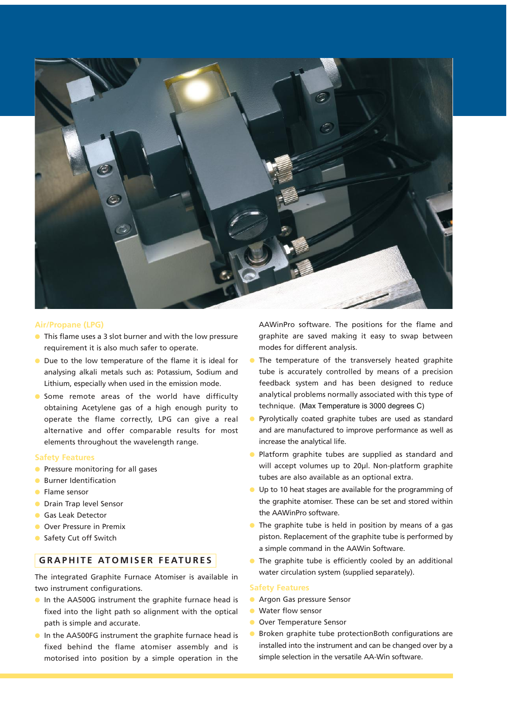

#### **Air/Propane (LPG)**

- $\bullet$  This flame uses a 3 slot burner and with the low pressure requirement it is also much safer to operate.
- **IDUE** Due to the low temperature of the flame it is ideal for analysing alkali metals such as: Potassium, Sodium and Lithium, especially when used in the emission mode.
- **.** Some remote areas of the world have difficulty obtaining Acetylene gas of a high enough purity to operate the flame correctly, LPG can give a real alternative and offer comparable results for most elements throughout the wavelength range.

#### **Safety Features**

- **•** Pressure monitoring for all gases
- **C** Burner Identification
- **I** Flame sensor
- **C** Drain Trap level Sensor
- **Gas Leak Detector**
- **O** Over Pressure in Premix
- **C** Safety Cut off Switch

#### $GRAPHITE ATOMISER FEATURES$

The integrated Graphite Furnace Atomiser is available in two instrument configurations.

- **In the AA500G instrument the graphite furnace head is** fixed into the light path so alignment with the optical path is simple and accurate.
- **In the AA500FG instrument the graphite furnace head is** fixed behind the flame atomiser assembly and is motorised into position by a simple operation in the

AAWinPro software. The positions for the flame and graphite are saved making it easy to swap between modes for different analysis.

- The temperature of the transversely heated graphite tube is accurately controlled by means of a precision feedback system and has been designed to reduce analytical problems normally associated with this type of technique. (Max Temperature is 3000 degrees C)
- Pyrolytically coated graphite tubes are used as standard and are manufactured to improve performance as well as increase the analytical life.
- **•** Platform graphite tubes are supplied as standard and will accept volumes up to 20µl. Non-platform graphite tubes are also available as an optional extra.
- $\bullet$  Up to 10 heat stages are available for the programming of the graphite atomiser. These can be set and stored within the AAWinPro software.
- $\bullet$  The graphite tube is held in position by means of a gas piston. Replacement of the graphite tube is performed by a simple command in the AAWin Software.
- $\bullet$  The graphite tube is efficiently cooled by an additional water circulation system (supplied separately).

#### **Safety Features**

- **Argon Gas pressure Sensor**
- **I** Water flow sensor
- **O** Over Temperature Sensor
- $\bullet$  Broken graphite tube protectionBoth configurations are installed into the instrument and can be changed over by a simple selection in the versatile AA-Win software.